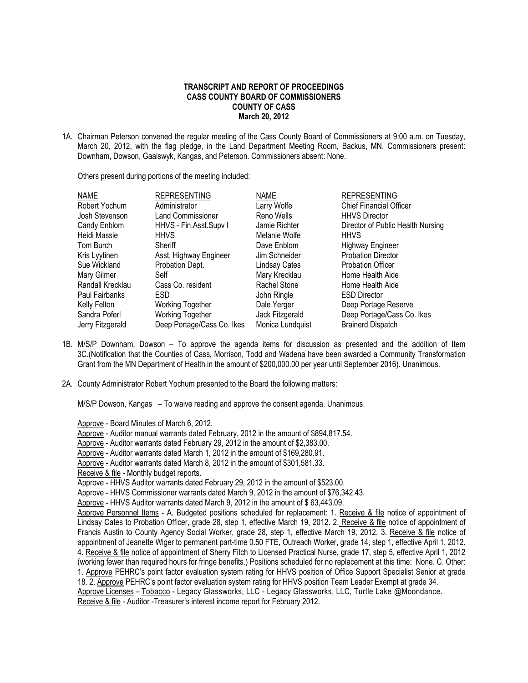## **TRANSCRIPT AND REPORT OF PROCEEDINGS CASS COUNTY BOARD OF COMMISSIONERS COUNTY OF CASS March 20, 2012**

1A. Chairman Peterson convened the regular meeting of the Cass County Board of Commissioners at 9:00 a.m. on Tuesday, March 20, 2012, with the flag pledge, in the Land Department Meeting Room, Backus, MN. Commissioners present: Downham, Dowson, Gaalswyk, Kangas, and Peterson. Commissioners absent: None.

Others present during portions of the meeting included:

| <b>NAME</b>      | <b>REPRESENTING</b>        | <b>NAME</b>          | <b>REPRESENTING</b>               |
|------------------|----------------------------|----------------------|-----------------------------------|
| Robert Yochum    | Administrator              | Larry Wolfe          | <b>Chief Financial Officer</b>    |
| Josh Stevenson   | <b>Land Commissioner</b>   | Reno Wells           | <b>HHVS Director</b>              |
| Candy Enblom     | HHVS - Fin.Asst.Supv I     | Jamie Richter        | Director of Public Health Nursing |
| Heidi Massie     | <b>HHVS</b>                | Melanie Wolfe        | <b>HHVS</b>                       |
| Tom Burch        | Sheriff                    | Dave Enblom          | <b>Highway Engineer</b>           |
| Kris Lyytinen    | Asst. Highway Engineer     | Jim Schneider        | <b>Probation Director</b>         |
| Sue Wickland     | Probation Dept.            | <b>Lindsay Cates</b> | <b>Probation Officer</b>          |
| Mary Gilmer      | Self                       | Mary Krecklau        | Home Health Aide                  |
| Randall Krecklau | Cass Co. resident          | Rachel Stone         | Home Health Aide                  |
| Paul Fairbanks   | ESD.                       | John Ringle          | <b>ESD Director</b>               |
| Kelly Felton     | <b>Working Together</b>    | Dale Yerger          | Deep Portage Reserve              |
| Sandra Poferl    | <b>Working Together</b>    | Jack Fitzgerald      | Deep Portage/Cass Co. Ikes        |
| Jerry Fitzgerald | Deep Portage/Cass Co. Ikes | Monica Lundquist     | <b>Brainerd Dispatch</b>          |

- 1B. M/S/P Downham, Dowson To approve the agenda items for discussion as presented and the addition of Item 3C.(Notification that the Counties of Cass, Morrison, Todd and Wadena have been awarded a Community Transformation Grant from the MN Department of Health in the amount of \$200,000.00 per year until September 2016). Unanimous.
- 2A. County Administrator Robert Yochum presented to the Board the following matters:

M/S/P Dowson, Kangas – To waive reading and approve the consent agenda. Unanimous.

Approve - Board Minutes of March 6, 2012.

Approve - Auditor manual warrants dated February, 2012 in the amount of \$894,817.54.

Approve - Auditor warrants dated February 29, 2012 in the amount of \$2,383.00.

Approve - Auditor warrants dated March 1, 2012 in the amount of \$169,280.91.

Approve - Auditor warrants dated March 8, 2012 in the amount of \$301,581.33.

Receive & file - Monthly budget reports.

Approve - HHVS Auditor warrants dated February 29, 2012 in the amount of \$523.00.

Approve - HHVS Commissioner warrants dated March 9, 2012 in the amount of \$76,342.43.

Approve - HHVS Auditor warrants dated March 9, 2012 in the amount of \$63,443.09.

Approve Personnel Items - A. Budgeted positions scheduled for replacement: 1. Receive & file notice of appointment of Lindsay Cates to Probation Officer, grade 28, step 1, effective March 19, 2012. 2. Receive & file notice of appointment of Francis Austin to County Agency Social Worker, grade 28, step 1, effective March 19, 2012. 3. Receive & file notice of appointment of Jeanette Wiger to permanent part-time 0.50 FTE, Outreach Worker, grade 14, step 1, effective April 1, 2012. 4. Receive & file notice of appointment of Sherry Fitch to Licensed Practical Nurse, grade 17, step 5, effective April 1, 2012 (working fewer than required hours for fringe benefits.) Positions scheduled for no replacement at this time: None. C. Other: 1. Approve PEHRC's point factor evaluation system rating for HHVS position of Office Support Specialist Senior at grade 18. 2. Approve PEHRC's point factor evaluation system rating for HHVS position Team Leader Exempt at grade 34. Approve Licenses – Tobacco - Legacy Glassworks, LLC - Legacy Glassworks, LLC, Turtle Lake @Moondance. Receive & file - Auditor -Treasurer's interest income report for February 2012.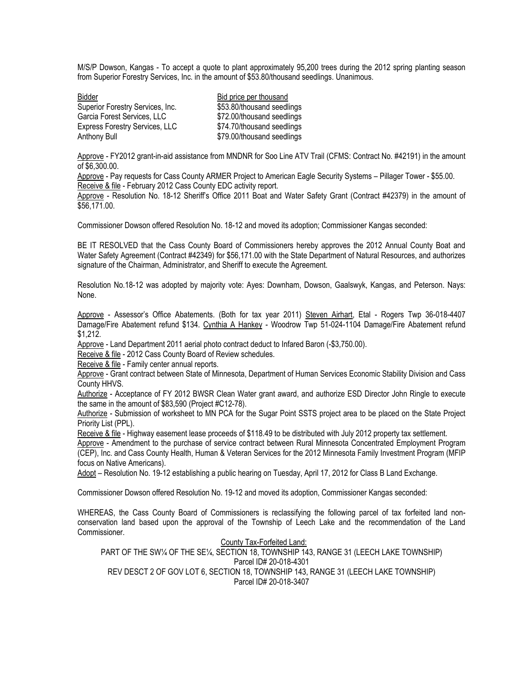M/S/P Dowson, Kangas - To accept a quote to plant approximately 95,200 trees during the 2012 spring planting season from Superior Forestry Services, Inc. in the amount of \$53.80/thousand seedlings. Unanimous.

| Bidder                           | Bid price per thousand     |
|----------------------------------|----------------------------|
| Superior Forestry Services, Inc. | \$53.80/thousand seedlings |
| Garcia Forest Services, LLC      | \$72.00/thousand seedlings |
| Express Forestry Services, LLC   | \$74.70/thousand seedlings |
| Anthony Bull                     | \$79.00/thousand seedlings |

Approve - FY2012 grant-in-aid assistance from MNDNR for Soo Line ATV Trail (CFMS: Contract No. #42191) in the amount of \$6,300.00.

Approve - Pay requests for Cass County ARMER Project to American Eagle Security Systems – Pillager Tower - \$55.00. Receive & file - February 2012 Cass County EDC activity report.

 Approve - Resolution No. 18-12 Sheriff's Office 2011 Boat and Water Safety Grant (Contract #42379) in the amount of \$56,171.00.

Commissioner Dowson offered Resolution No. 18-12 and moved its adoption; Commissioner Kangas seconded:

BE IT RESOLVED that the Cass County Board of Commissioners hereby approves the 2012 Annual County Boat and Water Safety Agreement (Contract #42349) for \$56,171.00 with the State Department of Natural Resources, and authorizes signature of the Chairman, Administrator, and Sheriff to execute the Agreement.

Resolution No.18-12 was adopted by majority vote: Ayes: Downham, Dowson, Gaalswyk, Kangas, and Peterson. Nays: None.

Approve - Assessor's Office Abatements. (Both for tax year 2011) Steven Airhart, Etal - Rogers Twp 36-018-4407 Damage/Fire Abatement refund \$134. Cynthia A Hankey - Woodrow Twp 51-024-1104 Damage/Fire Abatement refund \$1,212.

Approve - Land Department 2011 aerial photo contract deduct to Infared Baron (-\$3,750.00).

Receive & file - 2012 Cass County Board of Review schedules.

Receive & file - Family center annual reports.

Approve - Grant contract between State of Minnesota, Department of Human Services Economic Stability Division and Cass County HHVS.

Authorize - Acceptance of FY 2012 BWSR Clean Water grant award, and authorize ESD Director John Ringle to execute the same in the amount of \$83,590 (Project #C12-78).

Authorize - Submission of worksheet to MN PCA for the Sugar Point SSTS project area to be placed on the State Project Priority List (PPL).

Receive & file - Highway easement lease proceeds of \$118.49 to be distributed with July 2012 property tax settlement.

Approve - Amendment to the purchase of service contract between Rural Minnesota Concentrated Employment Program (CEP), Inc. and Cass County Health, Human & Veteran Services for the 2012 Minnesota Family Investment Program (MFIP focus on Native Americans).

Adopt – Resolution No. 19-12 establishing a public hearing on Tuesday, April 17, 2012 for Class B Land Exchange.

Commissioner Dowson offered Resolution No. 19-12 and moved its adoption, Commissioner Kangas seconded:

WHEREAS, the Cass County Board of Commissioners is reclassifying the following parcel of tax forfeited land nonconservation land based upon the approval of the Township of Leech Lake and the recommendation of the Land Commissioner.

County Tax-Forfeited Land: PART OF THE SW¼ OF THE SE¼, SECTION 18, TOWNSHIP 143, RANGE 31 (LEECH LAKE TOWNSHIP) Parcel ID# 20-018-4301 REV DESCT 2 OF GOV LOT 6, SECTION 18, TOWNSHIP 143, RANGE 31 (LEECH LAKE TOWNSHIP) Parcel ID# 20-018-3407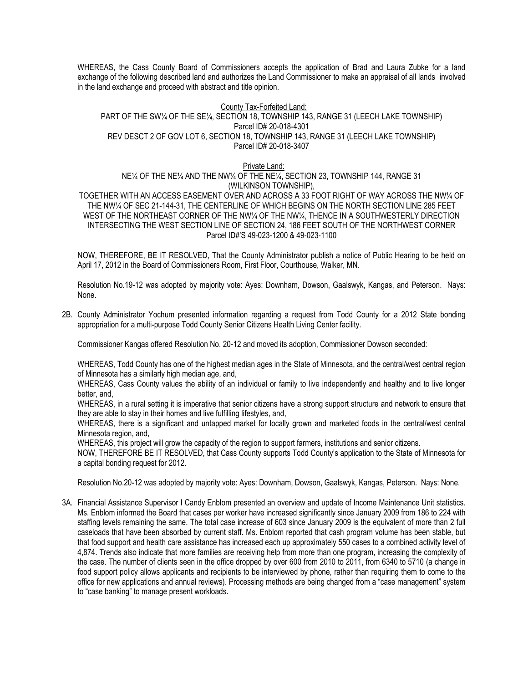WHEREAS, the Cass County Board of Commissioners accepts the application of Brad and Laura Zubke for a land exchange of the following described land and authorizes the Land Commissioner to make an appraisal of all lands involved in the land exchange and proceed with abstract and title opinion.

## County Tax-Forfeited Land: PART OF THE SW¼ OF THE SE¼, SECTION 18, TOWNSHIP 143, RANGE 31 (LEECH LAKE TOWNSHIP) Parcel ID# 20-018-4301 REV DESCT 2 OF GOV LOT 6, SECTION 18, TOWNSHIP 143, RANGE 31 (LEECH LAKE TOWNSHIP) Parcel ID# 20-018-3407

Private Land:

NE¼ OF THE NE¼ AND THE NW¼ OF THE NE¼, SECTION 23, TOWNSHIP 144, RANGE 31 (WILKINSON TOWNSHIP),

TOGETHER WITH AN ACCESS EASEMENT OVER AND ACROSS A 33 FOOT RIGHT OF WAY ACROSS THE NW¼ OF THE NW¼ OF SEC 21-144-31, THE CENTERLINE OF WHICH BEGINS ON THE NORTH SECTION LINE 285 FEET WEST OF THE NORTHEAST CORNER OF THE NW¼ OF THE NW¼, THENCE IN A SOUTHWESTERLY DIRECTION INTERSECTING THE WEST SECTION LINE OF SECTION 24, 186 FEET SOUTH OF THE NORTHWEST CORNER Parcel ID#'S 49-023-1200 & 49-023-1100

NOW, THEREFORE, BE IT RESOLVED, That the County Administrator publish a notice of Public Hearing to be held on April 17, 2012 in the Board of Commissioners Room, First Floor, Courthouse, Walker, MN.

Resolution No.19-12 was adopted by majority vote: Ayes: Downham, Dowson, Gaalswyk, Kangas, and Peterson. Nays: None.

2B. County Administrator Yochum presented information regarding a request from Todd County for a 2012 State bonding appropriation for a multi-purpose Todd County Senior Citizens Health Living Center facility.

Commissioner Kangas offered Resolution No. 20-12 and moved its adoption, Commissioner Dowson seconded:

WHEREAS, Todd County has one of the highest median ages in the State of Minnesota, and the central/west central region of Minnesota has a similarly high median age, and,

WHEREAS, Cass County values the ability of an individual or family to live independently and healthy and to live longer better, and,

WHEREAS, in a rural setting it is imperative that senior citizens have a strong support structure and network to ensure that they are able to stay in their homes and live fulfilling lifestyles, and,

WHEREAS, there is a significant and untapped market for locally grown and marketed foods in the central/west central Minnesota region, and,

WHEREAS, this project will grow the capacity of the region to support farmers, institutions and senior citizens.

NOW, THEREFORE BE IT RESOLVED, that Cass County supports Todd County's application to the State of Minnesota for a capital bonding request for 2012.

Resolution No.20-12 was adopted by majority vote: Ayes: Downham, Dowson, Gaalswyk, Kangas, Peterson. Nays: None.

3A. Financial Assistance Supervisor I Candy Enblom presented an overview and update of Income Maintenance Unit statistics. Ms. Enblom informed the Board that cases per worker have increased significantly since January 2009 from 186 to 224 with staffing levels remaining the same. The total case increase of 603 since January 2009 is the equivalent of more than 2 full caseloads that have been absorbed by current staff. Ms. Enblom reported that cash program volume has been stable, but that food support and health care assistance has increased each up approximately 550 cases to a combined activity level of 4,874. Trends also indicate that more families are receiving help from more than one program, increasing the complexity of the case. The number of clients seen in the office dropped by over 600 from 2010 to 2011, from 6340 to 5710 (a change in food support policy allows applicants and recipients to be interviewed by phone, rather than requiring them to come to the office for new applications and annual reviews). Processing methods are being changed from a "case management" system to "case banking" to manage present workloads.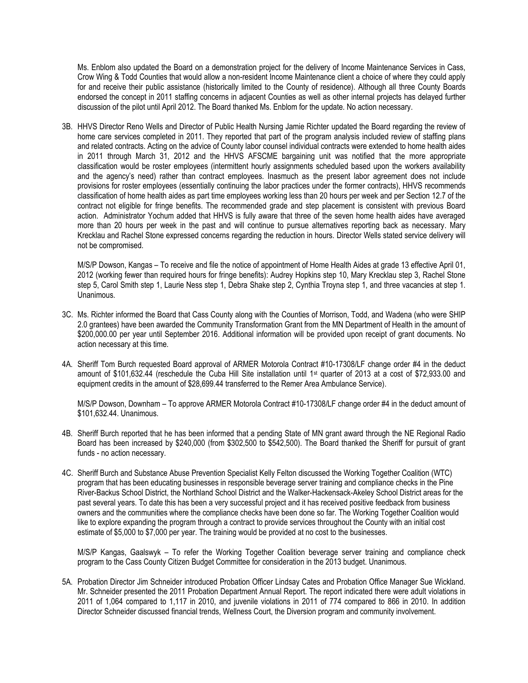Ms. Enblom also updated the Board on a demonstration project for the delivery of Income Maintenance Services in Cass, Crow Wing & Todd Counties that would allow a non-resident Income Maintenance client a choice of where they could apply for and receive their public assistance (historically limited to the County of residence). Although all three County Boards endorsed the concept in 2011 staffing concerns in adjacent Counties as well as other internal projects has delayed further discussion of the pilot until April 2012. The Board thanked Ms. Enblom for the update. No action necessary.

3B. HHVS Director Reno Wells and Director of Public Health Nursing Jamie Richter updated the Board regarding the review of home care services completed in 2011. They reported that part of the program analysis included review of staffing plans and related contracts. Acting on the advice of County labor counsel individual contracts were extended to home health aides in 2011 through March 31, 2012 and the HHVS AFSCME bargaining unit was notified that the more appropriate classification would be roster employees (intermittent hourly assignments scheduled based upon the workers availability and the agency's need) rather than contract employees. Inasmuch as the present labor agreement does not include provisions for roster employees (essentially continuing the labor practices under the former contracts), HHVS recommends classification of home health aides as part time employees working less than 20 hours per week and per Section 12.7 of the contract not eligible for fringe benefits. The recommended grade and step placement is consistent with previous Board action. Administrator Yochum added that HHVS is fully aware that three of the seven home health aides have averaged more than 20 hours per week in the past and will continue to pursue alternatives reporting back as necessary. Mary Krecklau and Rachel Stone expressed concerns regarding the reduction in hours. Director Wells stated service delivery will not be compromised.

M/S/P Dowson, Kangas – To receive and file the notice of appointment of Home Health Aides at grade 13 effective April 01, 2012 (working fewer than required hours for fringe benefits): Audrey Hopkins step 10, Mary Krecklau step 3, Rachel Stone step 5, Carol Smith step 1, Laurie Ness step 1, Debra Shake step 2, Cynthia Troyna step 1, and three vacancies at step 1. Unanimous.

- 3C. Ms. Richter informed the Board that Cass County along with the Counties of Morrison, Todd, and Wadena (who were SHIP 2.0 grantees) have been awarded the Community Transformation Grant from the MN Department of Health in the amount of \$200,000.00 per year until September 2016. Additional information will be provided upon receipt of grant documents. No action necessary at this time.
- 4A. Sheriff Tom Burch requested Board approval of ARMER Motorola Contract #10-17308/LF change order #4 in the deduct amount of \$101,632.44 (reschedule the Cuba Hill Site installation until 1<sup>st</sup> quarter of 2013 at a cost of \$72,933.00 and equipment credits in the amount of \$28,699.44 transferred to the Remer Area Ambulance Service).

M/S/P Dowson, Downham – To approve ARMER Motorola Contract #10-17308/LF change order #4 in the deduct amount of \$101,632.44. Unanimous.

- 4B. Sheriff Burch reported that he has been informed that a pending State of MN grant award through the NE Regional Radio Board has been increased by \$240,000 (from \$302,500 to \$542,500). The Board thanked the Sheriff for pursuit of grant funds - no action necessary.
- 4C. Sheriff Burch and Substance Abuse Prevention Specialist Kelly Felton discussed the Working Together Coalition (WTC) program that has been educating businesses in responsible beverage server training and compliance checks in the Pine River-Backus School District, the Northland School District and the Walker-Hackensack-Akeley School District areas for the past several years. To date this has been a very successful project and it has received positive feedback from business owners and the communities where the compliance checks have been done so far. The Working Together Coalition would like to explore expanding the program through a contract to provide services throughout the County with an initial cost estimate of \$5,000 to \$7,000 per year. The training would be provided at no cost to the businesses.

M/S/P Kangas, Gaalswyk – To refer the Working Together Coalition beverage server training and compliance check program to the Cass County Citizen Budget Committee for consideration in the 2013 budget. Unanimous.

5A. Probation Director Jim Schneider introduced Probation Officer Lindsay Cates and Probation Office Manager Sue Wickland. Mr. Schneider presented the 2011 Probation Department Annual Report. The report indicated there were adult violations in 2011 of 1,064 compared to 1,117 in 2010, and juvenile violations in 2011 of 774 compared to 866 in 2010. In addition Director Schneider discussed financial trends, Wellness Court, the Diversion program and community involvement.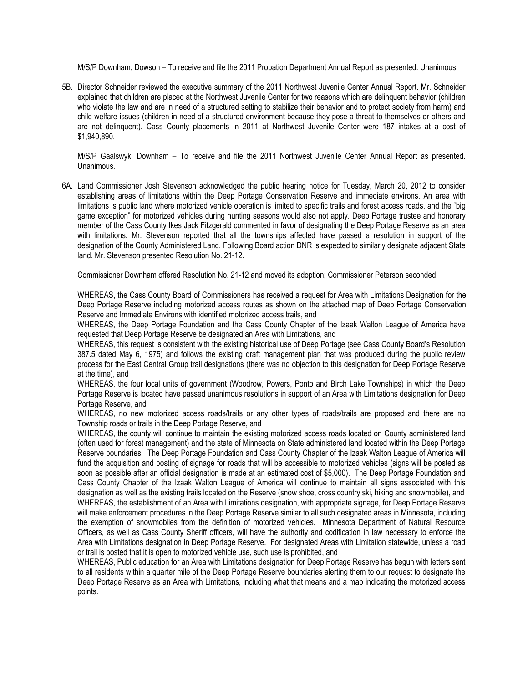M/S/P Downham, Dowson – To receive and file the 2011 Probation Department Annual Report as presented. Unanimous.

5B. Director Schneider reviewed the executive summary of the 2011 Northwest Juvenile Center Annual Report. Mr. Schneider explained that children are placed at the Northwest Juvenile Center for two reasons which are delinquent behavior (children who violate the law and are in need of a structured setting to stabilize their behavior and to protect society from harm) and child welfare issues (children in need of a structured environment because they pose a threat to themselves or others and are not delinquent). Cass County placements in 2011 at Northwest Juvenile Center were 187 intakes at a cost of \$1,940,890.

M/S/P Gaalswyk, Downham – To receive and file the 2011 Northwest Juvenile Center Annual Report as presented. Unanimous.

6A. Land Commissioner Josh Stevenson acknowledged the public hearing notice for Tuesday, March 20, 2012 to consider establishing areas of limitations within the Deep Portage Conservation Reserve and immediate environs. An area with limitations is public land where motorized vehicle operation is limited to specific trails and forest access roads, and the "big game exception" for motorized vehicles during hunting seasons would also not apply. Deep Portage trustee and honorary member of the Cass County Ikes Jack Fitzgerald commented in favor of designating the Deep Portage Reserve as an area with limitations. Mr. Stevenson reported that all the townships affected have passed a resolution in support of the designation of the County Administered Land. Following Board action DNR is expected to similarly designate adjacent State land. Mr. Stevenson presented Resolution No. 21-12.

Commissioner Downham offered Resolution No. 21-12 and moved its adoption; Commissioner Peterson seconded:

WHEREAS, the Cass County Board of Commissioners has received a request for Area with Limitations Designation for the Deep Portage Reserve including motorized access routes as shown on the attached map of Deep Portage Conservation Reserve and Immediate Environs with identified motorized access trails, and

WHEREAS, the Deep Portage Foundation and the Cass County Chapter of the Izaak Walton League of America have requested that Deep Portage Reserve be designated an Area with Limitations, and

WHEREAS, this request is consistent with the existing historical use of Deep Portage (see Cass County Board's Resolution 387.5 dated May 6, 1975) and follows the existing draft management plan that was produced during the public review process for the East Central Group trail designations (there was no objection to this designation for Deep Portage Reserve at the time), and

WHEREAS, the four local units of government (Woodrow, Powers, Ponto and Birch Lake Townships) in which the Deep Portage Reserve is located have passed unanimous resolutions in support of an Area with Limitations designation for Deep Portage Reserve, and

WHEREAS, no new motorized access roads/trails or any other types of roads/trails are proposed and there are no Township roads or trails in the Deep Portage Reserve, and

WHEREAS, the county will continue to maintain the existing motorized access roads located on County administered land (often used for forest management) and the state of Minnesota on State administered land located within the Deep Portage Reserve boundaries. The Deep Portage Foundation and Cass County Chapter of the Izaak Walton League of America will fund the acquisition and posting of signage for roads that will be accessible to motorized vehicles (signs will be posted as soon as possible after an official designation is made at an estimated cost of \$5,000). The Deep Portage Foundation and Cass County Chapter of the Izaak Walton League of America will continue to maintain all signs associated with this designation as well as the existing trails located on the Reserve (snow shoe, cross country ski, hiking and snowmobile), and WHEREAS, the establishment of an Area with Limitations designation, with appropriate signage, for Deep Portage Reserve will make enforcement procedures in the Deep Portage Reserve similar to all such designated areas in Minnesota, including the exemption of snowmobiles from the definition of motorized vehicles. Minnesota Department of Natural Resource Officers, as well as Cass County Sheriff officers, will have the authority and codification in law necessary to enforce the Area with Limitations designation in Deep Portage Reserve. For designated Areas with Limitation statewide, unless a road or trail is posted that it is open to motorized vehicle use, such use is prohibited, and

WHEREAS, Public education for an Area with Limitations designation for Deep Portage Reserve has begun with letters sent to all residents within a quarter mile of the Deep Portage Reserve boundaries alerting them to our request to designate the Deep Portage Reserve as an Area with Limitations, including what that means and a map indicating the motorized access points.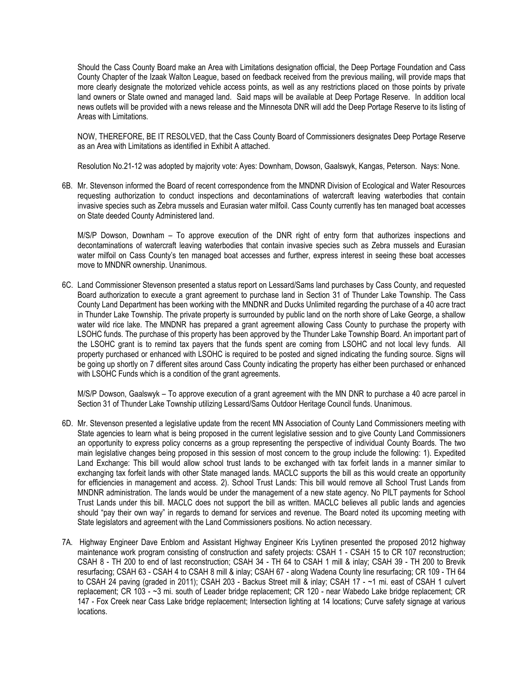Should the Cass County Board make an Area with Limitations designation official, the Deep Portage Foundation and Cass County Chapter of the Izaak Walton League, based on feedback received from the previous mailing, will provide maps that more clearly designate the motorized vehicle access points, as well as any restrictions placed on those points by private land owners or State owned and managed land. Said maps will be available at Deep Portage Reserve. In addition local news outlets will be provided with a news release and the Minnesota DNR will add the Deep Portage Reserve to its listing of Areas with Limitations.

NOW, THEREFORE, BE IT RESOLVED, that the Cass County Board of Commissioners designates Deep Portage Reserve as an Area with Limitations as identified in Exhibit A attached.

Resolution No.21-12 was adopted by majority vote: Ayes: Downham, Dowson, Gaalswyk, Kangas, Peterson. Nays: None.

6B. Mr. Stevenson informed the Board of recent correspondence from the MNDNR Division of Ecological and Water Resources requesting authorization to conduct inspections and decontaminations of watercraft leaving waterbodies that contain invasive species such as Zebra mussels and Eurasian water milfoil. Cass County currently has ten managed boat accesses on State deeded County Administered land.

M/S/P Dowson, Downham – To approve execution of the DNR right of entry form that authorizes inspections and decontaminations of watercraft leaving waterbodies that contain invasive species such as Zebra mussels and Eurasian water milfoil on Cass County's ten managed boat accesses and further, express interest in seeing these boat accesses move to MNDNR ownership. Unanimous.

6C. Land Commissioner Stevenson presented a status report on Lessard/Sams land purchases by Cass County, and requested Board authorization to execute a grant agreement to purchase land in Section 31 of Thunder Lake Township. The Cass County Land Department has been working with the MNDNR and Ducks Unlimited regarding the purchase of a 40 acre tract in Thunder Lake Township. The private property is surrounded by public land on the north shore of Lake George, a shallow water wild rice lake. The MNDNR has prepared a grant agreement allowing Cass County to purchase the property with LSOHC funds. The purchase of this property has been approved by the Thunder Lake Township Board. An important part of the LSOHC grant is to remind tax payers that the funds spent are coming from LSOHC and not local levy funds. All property purchased or enhanced with LSOHC is required to be posted and signed indicating the funding source. Signs will be going up shortly on 7 different sites around Cass County indicating the property has either been purchased or enhanced with LSOHC Funds which is a condition of the grant agreements.

M/S/P Dowson, Gaalswyk – To approve execution of a grant agreement with the MN DNR to purchase a 40 acre parcel in Section 31 of Thunder Lake Township utilizing Lessard/Sams Outdoor Heritage Council funds. Unanimous.

- 6D. Mr. Stevenson presented a legislative update from the recent MN Association of County Land Commissioners meeting with State agencies to learn what is being proposed in the current legislative session and to give County Land Commissioners an opportunity to express policy concerns as a group representing the perspective of individual County Boards. The two main legislative changes being proposed in this session of most concern to the group include the following: 1). Expedited Land Exchange: This bill would allow school trust lands to be exchanged with tax forfeit lands in a manner similar to exchanging tax forfeit lands with other State managed lands. MACLC supports the bill as this would create an opportunity for efficiencies in management and access. 2). School Trust Lands: This bill would remove all School Trust Lands from MNDNR administration. The lands would be under the management of a new state agency. No PILT payments for School Trust Lands under this bill. MACLC does not support the bill as written. MACLC believes all public lands and agencies should "pay their own way" in regards to demand for services and revenue. The Board noted its upcoming meeting with State legislators and agreement with the Land Commissioners positions. No action necessary.
- 7A. Highway Engineer Dave Enblom and Assistant Highway Engineer Kris Lyytinen presented the proposed 2012 highway maintenance work program consisting of construction and safety projects: CSAH 1 - CSAH 15 to CR 107 reconstruction; CSAH 8 - TH 200 to end of last reconstruction; CSAH 34 - TH 64 to CSAH 1 mill & inlay; CSAH 39 - TH 200 to Brevik resurfacing; CSAH 63 - CSAH 4 to CSAH 8 mill & inlay; CSAH 67 - along Wadena County line resurfacing; CR 109 - TH 64 to CSAH 24 paving (graded in 2011); CSAH 203 - Backus Street mill & inlay; CSAH 17 - ~1 mi. east of CSAH 1 culvert replacement; CR 103 - ~3 mi. south of Leader bridge replacement; CR 120 - near Wabedo Lake bridge replacement; CR 147 - Fox Creek near Cass Lake bridge replacement; Intersection lighting at 14 locations; Curve safety signage at various locations.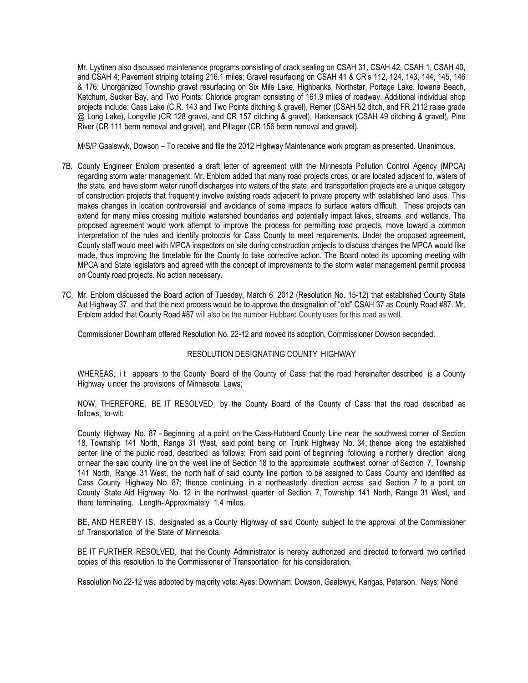Mr. Lyytinen also discussed maintenance programs consisting of crack sealing on CSAH 31, CSAH 42, CSAH 1, CSAH 40, and CSAH 4; Pavement striping totaling 216.1 miles; Gravel resurfacing on CSAH 41 & CR's 112, 124, 143, 144, 145, 146 & 176: Unorganized Township gravel resurfacing on Six Mile Lake, Highbanks, Northstar, Portage Lake, Iowana Beach, Ketchum, Sucker Bay, and Two Points; Chloride program consisting of 161.9 miles of roadway. Additional individual shop projects include: Cass Lake (C.R. 143 and Two Points ditching & gravel), Remer (CSAH 52 ditch, and FR 2112 raise grade @ Long Lake), Longville (CR 128 gravel, and CR 157 ditching & gravel), Hackensack (CSAH 49 ditching & gravel), Pine River (CR 111 berm removal and gravel), and Pillager (CR 156 berm removal and gravel).

M/S/P Gaalswyk, Dowson – To receive and file the 2012 Highway Maintenance work program as presented. Unanimous.

- 7B. County Engineer Enblom presented a draft letter of agreement with the Minnesota Pollution Control Agency (MPCA) regarding storm water management. Mr. Enblom added that many road projects cross, or are located adjacent to, waters of the state, and have storm water runoff discharges into waters of the state, and transportation projects are a unique category of construction projects that frequently involve existing roads adjacent to private property with established land uses. This makes changes in location controversial and avoidance of some impacts to surface waters difficult. These projects can extend for many miles crossing multiple watershed boundaries and potentially impact lakes, streams, and wetlands. The proposed agreement would work attempt to improve the process for permitting road projects, move toward a common interpretation of the rules and identify protocols for Cass County to meet requirements. Under the proposed agreement, County staff would meet with MPCA inspectors on site during construction projects to discuss changes the MPCA would like made, thus improving the timetable for the County to take corrective action. The Board noted its upcoming meeting with MPCA and State legislators and agreed with the concept of improvements to the storm water management permit process on County road projects. No action necessary.
- 7C. Mr. Enblom discussed the Board action of Tuesday, March 6, 2012 (Resolution No. 15-12) that established County State Aid Highway 37, and that the next process would be to approve the designation of "old" CSAH 37 as County Road #87. Mr. Enblom added that County Road #87 will also be the number Hubbard County uses for this road as well.

Commissioner Downham offered Resolution No. 22-12 and moved its adoption, Commissioner Dowson seconded:

## RESOLUTION DESIGNATING COUNTY HIGHWAY

WHEREAS, it appears to the County Board of the County of Cass that the road hereinafter described is a County Highway u nder the provisions of Minnesota Laws;

NOW, THEREFORE, BE IT RESOLVED, by the County Board of the County of Cass that the road described as follows, to-wit:

County Highway No. 87 -Beginning at <sup>a</sup> point on the Cass-Hubbard County Line near the southwest corner of Section 18, Township 141 North, Range 31 West, said point being on Trunk Highway No. 34; thence along the established center line of the public road, described as follows: From said point of beginning following a northerly direction along or near the said county line on the west line of Section 18 to the approximate southwest corner of Section 7, Township 141 North, Range 31 West, the north half of said county line portion to be assigned to Cass County and identified as Cass County Highway No. 87; thence continuing in a northeasterly direction across said Section 7 to a point on County State Aid Highway No. 12 in the northwest quarter of Section 7, Township 141 North, Range 31 West, and there terminating. Length-Approximately 1.4 miles.

BE, AND HEREBY IS, designated as a County Highway of said County subject to the approval of the Commissioner of Transportation of the State of Minnesota.

BE IT FURTHER RESOLVED, that the County Administrator is hereby authorized and directed to forward two certified copies of this resolution to the Commissioner of Transportation for his consideration.

Resolution No.22-12 was adopted by majority vote: Ayes: Downham, Dowson, Gaalswyk, Kangas, Peterson. Nays: None